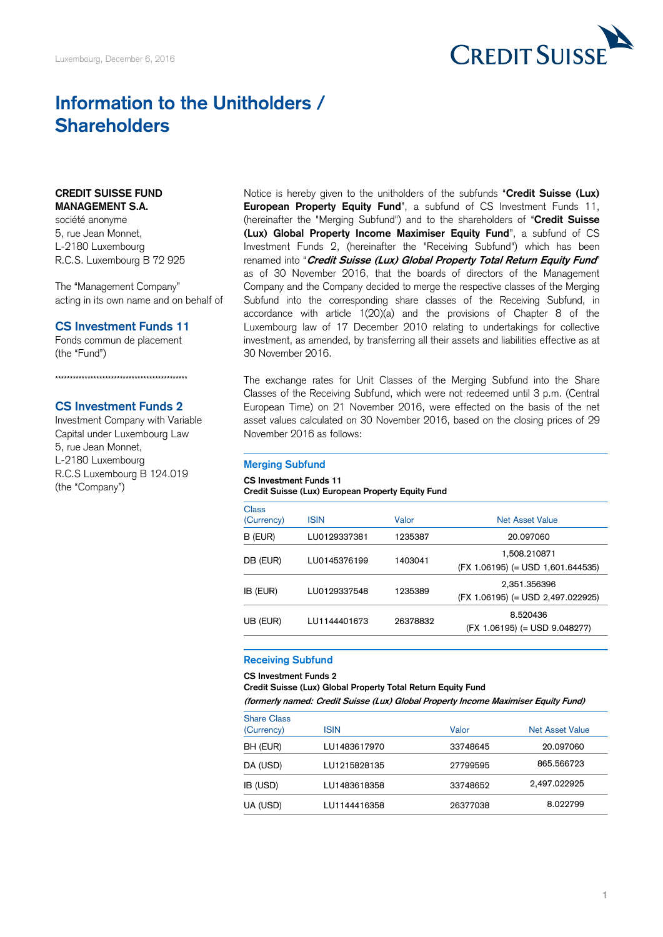

# **Information to the Unitholders / Shareholders**

#### **CREDIT SUISSE FUND MANAGEMENT S.A.**

société anonyme 5, rue Jean Monnet, L-2180 Luxembourg R.C.S. Luxembourg B 72 925

The "Management Company" acting in its own name and on behalf of

#### **CS Investment Funds 11**

Fonds commun de placement (the "Fund")

# \*\*\*\*\*\*\*\*\*\*\*\*\*\*\*\*\*\*\*\*\*\*\*\*\*\*\*\*\*\*\*\*\*\*\*\*\*\*\*\*\*\*\*\*\*

### **CS Investment Funds 2** Investment Company with Variable Capital under Luxembourg Law 5, rue Jean Monnet, L-2180 Luxembourg R.C.S Luxembourg B 124.019 (the "Company")

Notice is hereby given to the unitholders of the subfunds "**Credit Suisse (Lux) European Property Equity Fund**", a subfund of CS Investment Funds 11, (hereinafter the "Merging Subfund") and to the shareholders of "**Credit Suisse (Lux) Global Property Income Maximiser Equity Fund**", a subfund of CS Investment Funds 2, (hereinafter the "Receiving Subfund") which has been renamed into "**Credit Suisse (Lux) Global Property Total Return Equity Fund**" as of 30 November 2016, that the boards of directors of the Management Company and the Company decided to merge the respective classes of the Merging Subfund into the corresponding share classes of the Receiving Subfund, in accordance with article 1(20)(a) and the provisions of Chapter 8 of the Luxembourg law of 17 December 2010 relating to undertakings for collective investment, as amended, by transferring all their assets and liabilities effective as at 30 November 2016.

The exchange rates for Unit Classes of the Merging Subfund into the Share Classes of the Receiving Subfund, which were not redeemed until 3 p.m. (Central European Time) on 21 November 2016, were effected on the basis of the net asset values calculated on 30 November 2016, based on the closing prices of 29 November 2016 as follows:

#### **Merging Subfund**

#### **CS Investment Funds 11**

#### **Credit Suisse (Lux) European Property Equity Fund**

| <b>Class</b> |                         |          |                                                     |
|--------------|-------------------------|----------|-----------------------------------------------------|
| (Currency)   | <b>ISIN</b>             | Valor    | <b>Net Asset Value</b>                              |
| B (EUR)      | LU0129337381            | 1235387  | 20.097060                                           |
| DB (EUR)     | LU0145376199            | 1403041  | 1,508.210871<br>$(FX 1.06195) (= USD 1.601.644535)$ |
| IB (EUR)     | LU0129337548            | 1235389  | 2,351.356396<br>(FX 1.06195) (= USD 2,497.022925)   |
| UB (EUR)     | 1 1 1 1 4 4 4 0 1 6 7 3 | 26378832 | 8.520436<br>$(FX 1.06195) (= USD 9.048277)$         |

## **Receiving Subfund**

#### **CS Investment Funds 2**

**Credit Suisse (Lux) Global Property Total Return Equity Fund**

**(formerly named: Credit Suisse (Lux) Global Property Income Maximiser Equity Fund)**

| <b>Share Class</b><br>(Currency) | <b>ISIN</b>  | Valor    | Net Asset Value |
|----------------------------------|--------------|----------|-----------------|
| BH (EUR)                         | LU1483617970 | 33748645 | 20.097060       |
| DA (USD)                         | LU1215828135 | 27799595 | 865.566723      |
| IB (USD)                         | LU1483618358 | 33748652 | 2,497.022925    |
| UA (USD)                         | LU1144416358 | 26377038 | 8.022799        |